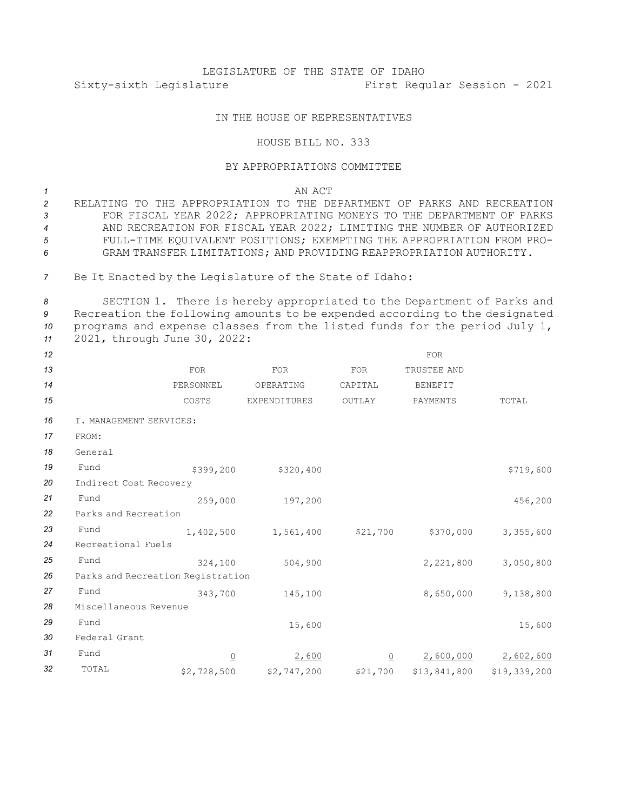## LEGISLATURE OF THE STATE OF IDAHO Sixty-sixth Legislature First Regular Session - 2021

## IN THE HOUSE OF REPRESENTATIVES

## HOUSE BILL NO. 333

## BY APPROPRIATIONS COMMITTEE

*1* AN ACT

 RELATING TO THE APPROPRIATION TO THE DEPARTMENT OF PARKS AND RECREATION FOR FISCAL YEAR 2022; APPROPRIATING MONEYS TO THE DEPARTMENT OF PARKS AND RECREATION FOR FISCAL YEAR 2022; LIMITING THE NUMBER OF AUTHORIZED FULL-TIME EQUIVALENT POSITIONS; EXEMPTING THE APPROPRIATION FROM PRO-GRAM TRANSFER LIMITATIONS; AND PROVIDING REAPPROPRIATION AUTHORITY.

*<sup>7</sup>* Be It Enacted by the Legislature of the State of Idaho:

 SECTION 1. There is hereby appropriated to the Department of Parks and Recreation the following amounts to be expended according to the designated programs and expense classes from the listed funds for the period July 1, 2021, through June 30, 2022:

| 12 |                                   |                          |                     |                | <b>FOR</b>     |              |  |  |  |  |
|----|-----------------------------------|--------------------------|---------------------|----------------|----------------|--------------|--|--|--|--|
| 13 |                                   | <b>FOR</b>               | FOR                 | <b>FOR</b>     | TRUSTEE AND    |              |  |  |  |  |
| 14 |                                   | PERSONNEL                | OPERATING           | CAPITAL        | <b>BENEFIT</b> |              |  |  |  |  |
| 15 |                                   | COSTS                    | <b>EXPENDITURES</b> | OUTLAY         | PAYMENTS       | TOTAL        |  |  |  |  |
| 16 | I. MANAGEMENT SERVICES:           |                          |                     |                |                |              |  |  |  |  |
| 17 | FROM:                             |                          |                     |                |                |              |  |  |  |  |
| 18 | General                           |                          |                     |                |                |              |  |  |  |  |
| 19 | Fund                              | \$399,200                | \$320,400           |                |                | \$719,600    |  |  |  |  |
| 20 | Indirect Cost Recovery            |                          |                     |                |                |              |  |  |  |  |
| 21 | Fund                              | 259,000                  | 197,200             |                |                | 456,200      |  |  |  |  |
| 22 | Parks and Recreation              |                          |                     |                |                |              |  |  |  |  |
| 23 | Fund                              | 1,402,500                | 1,561,400           | \$21,700       | \$370,000      | 3,355,600    |  |  |  |  |
| 24 | Recreational Fuels                |                          |                     |                |                |              |  |  |  |  |
| 25 | Fund                              | 324,100                  | 504,900             |                | 2,221,800      | 3,050,800    |  |  |  |  |
| 26 | Parks and Recreation Registration |                          |                     |                |                |              |  |  |  |  |
| 27 | Fund                              | 343,700                  | 145,100             |                | 8,650,000      | 9,138,800    |  |  |  |  |
| 28 | Miscellaneous Revenue             |                          |                     |                |                |              |  |  |  |  |
| 29 | Fund                              |                          | 15,600              |                |                | 15,600       |  |  |  |  |
| 30 | Federal Grant                     |                          |                     |                |                |              |  |  |  |  |
| 31 | Fund                              | $\underline{\mathsf{O}}$ | 2,600               | $\overline{0}$ | 2,600,000      | 2,602,600    |  |  |  |  |
| 32 | TOTAL                             | \$2,728,500              | \$2,747,200         | \$21,700       | \$13,841,800   | \$19,339,200 |  |  |  |  |
|    |                                   |                          |                     |                |                |              |  |  |  |  |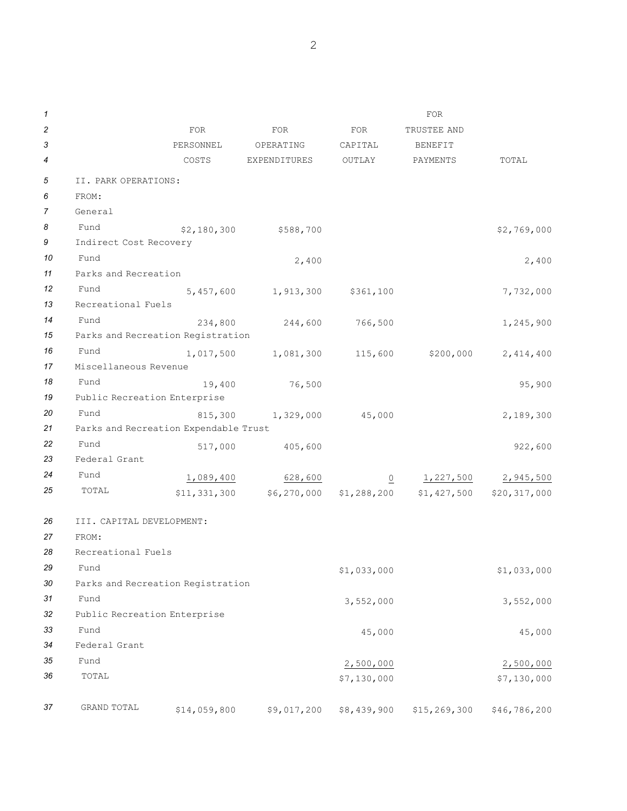| 1  |                                   |                                       |              |             | <b>FOR</b>                  |              |  |  |  |
|----|-----------------------------------|---------------------------------------|--------------|-------------|-----------------------------|--------------|--|--|--|
| 2  |                                   | <b>FOR</b>                            | FOR          | FOR         | TRUSTEE AND                 |              |  |  |  |
| 3  |                                   | PERSONNEL                             | OPERATING    | CAPITAL     | <b>BENEFIT</b>              |              |  |  |  |
| 4  |                                   | COSTS                                 | EXPENDITURES | OUTLAY      | PAYMENTS                    | TOTAL        |  |  |  |
| 5  | II. PARK OPERATIONS:              |                                       |              |             |                             |              |  |  |  |
| 6  | FROM:                             |                                       |              |             |                             |              |  |  |  |
| 7  | General                           |                                       |              |             |                             |              |  |  |  |
| 8  | Fund                              | \$2,180,300                           | \$588,700    |             |                             | \$2,769,000  |  |  |  |
| 9  | Indirect Cost Recovery            |                                       |              |             |                             |              |  |  |  |
| 10 | Fund                              |                                       | 2,400        |             |                             | 2,400        |  |  |  |
| 11 | Parks and Recreation              |                                       |              |             |                             |              |  |  |  |
| 12 | Fund                              | 5,457,600                             | 1,913,300    | \$361,100   |                             | 7,732,000    |  |  |  |
| 13 | Recreational Fuels                |                                       |              |             |                             |              |  |  |  |
| 14 | Fund                              | 234,800                               | 244,600      | 766,500     |                             | 1,245,900    |  |  |  |
| 15 | Parks and Recreation Registration |                                       |              |             |                             |              |  |  |  |
| 16 | Fund                              | 1,017,500                             | 1,081,300    | 115,600     | \$200,000                   | 2,414,400    |  |  |  |
| 17 | Miscellaneous Revenue             |                                       |              |             |                             |              |  |  |  |
| 18 | Fund                              | 19,400                                | 76,500       |             |                             | 95,900       |  |  |  |
| 19 | Public Recreation Enterprise      |                                       |              |             |                             |              |  |  |  |
| 20 | Fund                              | 815,300                               | 1,329,000    | 45,000      |                             | 2,189,300    |  |  |  |
| 21 |                                   | Parks and Recreation Expendable Trust |              |             |                             |              |  |  |  |
| 22 | Fund                              | 517,000                               | 405,600      |             |                             | 922,600      |  |  |  |
| 23 | Federal Grant                     |                                       |              |             |                             |              |  |  |  |
| 24 | Fund                              | 1,089,400                             | 628,600      |             | 1,227,500<br>$\overline{0}$ | 2,945,500    |  |  |  |
| 25 | TOTAL                             | \$11,331,300                          | \$6,270,000  |             | $$1,288,200$ $$1,427,500$   | \$20,317,000 |  |  |  |
|    |                                   |                                       |              |             |                             |              |  |  |  |
| 26 | III. CAPITAL DEVELOPMENT:         |                                       |              |             |                             |              |  |  |  |
| 27 | FROM:                             |                                       |              |             |                             |              |  |  |  |
| 28 | Recreational Fuels                |                                       |              |             |                             |              |  |  |  |
| 29 | Fund                              |                                       |              | \$1,033,000 |                             | \$1,033,000  |  |  |  |
| 30 | Parks and Recreation Registration |                                       |              |             |                             |              |  |  |  |
| 31 | Fund                              |                                       |              | 3,552,000   |                             | 3,552,000    |  |  |  |
| 32 | Public Recreation Enterprise      |                                       |              |             |                             |              |  |  |  |
| 33 | Fund                              |                                       |              | 45,000      |                             | 45,000       |  |  |  |
| 34 | Federal Grant                     |                                       |              |             |                             |              |  |  |  |
| 35 | Fund                              |                                       |              | 2,500,000   |                             | 2,500,000    |  |  |  |
| 36 | TOTAL                             |                                       |              | \$7,130,000 |                             | \$7,130,000  |  |  |  |
|    |                                   |                                       |              |             |                             |              |  |  |  |
| 37 | GRAND TOTAL                       | \$14,059,800                          | \$9,017,200  | \$8,439,900 | \$15,269,300                | \$46,786,200 |  |  |  |